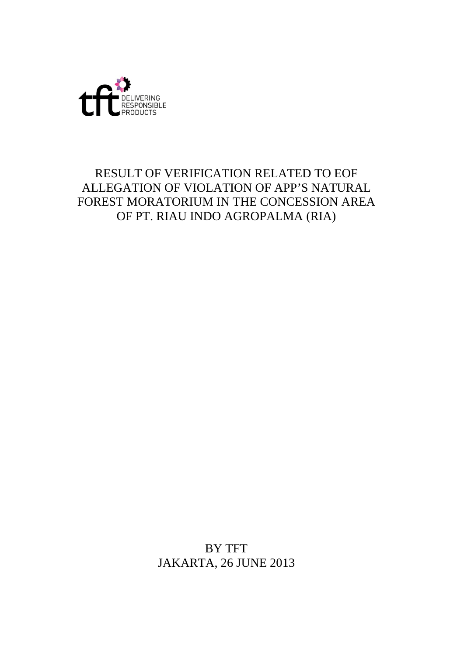

# RESULT OF VERIFICATION RELATED TO EOF ALLEGATION OF VIOLATION OF APP'S NATURAL FOREST MORATORIUM IN THE CONCESSION AREA OF PT. RIAU INDO AGROPALMA (RIA)

BY TFT JAKARTA, 26 JUNE 2013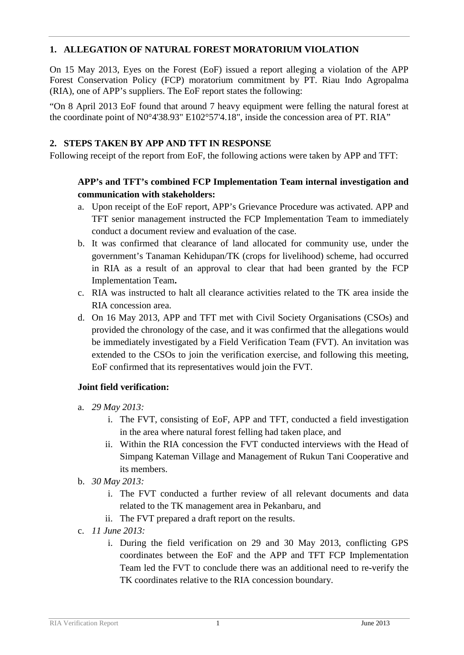# **1. ALLEGATION OF NATURAL FOREST MORATORIUM VIOLATION**

On 15 May 2013, Eyes on the Forest (EoF) issued a report alleging a violation of the APP Forest Conservation Policy (FCP) moratorium commitment by PT. Riau Indo Agropalma (RIA), one of APP's suppliers. The EoF report states the following:

"On 8 April 2013 EoF found that around 7 heavy equipment were felling the natural forest at the coordinate point of N0°4'38.93" E102°57'4.18", inside the concession area of PT. RIA"

# **2. STEPS TAKEN BY APP AND TFT IN RESPONSE**

Following receipt of the report from EoF, the following actions were taken by APP and TFT:

# **APP's and TFT's combined FCP Implementation Team internal investigation and communication with stakeholders:**

- a. Upon receipt of the EoF report, APP's Grievance Procedure was activated. APP and TFT senior management instructed the FCP Implementation Team to immediately conduct a document review and evaluation of the case.
- b. It was confirmed that clearance of land allocated for community use, under the government's Tanaman Kehidupan/TK (crops for livelihood) scheme, had occurred in RIA as a result of an approval to clear that had been granted by the FCP Implementation Team**.**
- c. RIA was instructed to halt all clearance activities related to the TK area inside the RIA concession area.
- d. On 16 May 2013, APP and TFT met with Civil Society Organisations (CSOs) and provided the chronology of the case, and it was confirmed that the allegations would be immediately investigated by a Field Verification Team (FVT). An invitation was extended to the CSOs to join the verification exercise, and following this meeting, EoF confirmed that its representatives would join the FVT.

# **Joint field verification:**

- a. *29 May 2013:*
	- i. The FVT, consisting of EoF, APP and TFT, conducted a field investigation in the area where natural forest felling had taken place, and
	- ii. Within the RIA concession the FVT conducted interviews with the Head of Simpang Kateman Village and Management of Rukun Tani Cooperative and its members.
- b. *30 May 2013:*
	- i. The FVT conducted a further review of all relevant documents and data related to the TK management area in Pekanbaru, and
	- ii. The FVT prepared a draft report on the results.
- c. *11 June 2013:*
	- i. During the field verification on 29 and 30 May 2013, conflicting GPS coordinates between the EoF and the APP and TFT FCP Implementation Team led the FVT to conclude there was an additional need to re-verify the TK coordinates relative to the RIA concession boundary.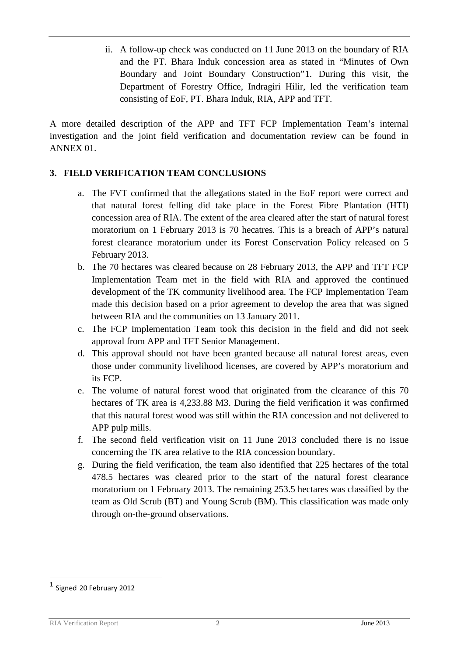ii. A follow-up check was conducted on 11 June 2013 on the boundary of RIA and the PT. Bhara Induk concession area as stated in "Minutes of Own Boundary and Joint Boundary Construction"[1](#page-2-0). During this visit, the Department of Forestry Office, Indragiri Hilir, led the verification team consisting of EoF, PT. Bhara Induk, RIA, APP and TFT.

A more detailed description of the APP and TFT FCP Implementation Team's internal investigation and the joint field verification and documentation review can be found in ANNEX 01.

# **3. FIELD VERIFICATION TEAM CONCLUSIONS**

- a. The FVT confirmed that the allegations stated in the EoF report were correct and that natural forest felling did take place in the Forest Fibre Plantation (HTI) concession area of RIA. The extent of the area cleared after the start of natural forest moratorium on 1 February 2013 is 70 hecatres. This is a breach of APP's natural forest clearance moratorium under its Forest Conservation Policy released on 5 February 2013.
- b. The 70 hectares was cleared because on 28 February 2013, the APP and TFT FCP Implementation Team met in the field with RIA and approved the continued development of the TK community livelihood area. The FCP Implementation Team made this decision based on a prior agreement to develop the area that was signed between RIA and the communities on 13 January 2011.
- c. The FCP Implementation Team took this decision in the field and did not seek approval from APP and TFT Senior Management.
- d. This approval should not have been granted because all natural forest areas, even those under community livelihood licenses, are covered by APP's moratorium and its FCP.
- e. The volume of natural forest wood that originated from the clearance of this 70 hectares of TK area is 4,233.88 M3. During the field verification it was confirmed that this natural forest wood was still within the RIA concession and not delivered to APP pulp mills.
- f. The second field verification visit on 11 June 2013 concluded there is no issue concerning the TK area relative to the RIA concession boundary.
- g. During the field verification, the team also identified that 225 hectares of the total 478.5 hectares was cleared prior to the start of the natural forest clearance moratorium on 1 February 2013. The remaining 253.5 hectares was classified by the team as Old Scrub (BT) and Young Scrub (BM). This classification was made only through on-the-ground observations.

<span id="page-2-0"></span> <sup>1</sup> Signed 20 February 2012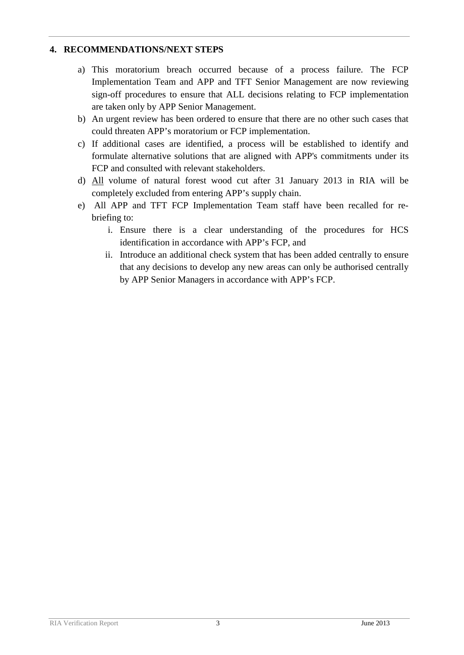### **4. RECOMMENDATIONS/NEXT STEPS**

- a) This moratorium breach occurred because of a process failure. The FCP Implementation Team and APP and TFT Senior Management are now reviewing sign-off procedures to ensure that ALL decisions relating to FCP implementation are taken only by APP Senior Management.
- b) An urgent review has been ordered to ensure that there are no other such cases that could threaten APP's moratorium or FCP implementation.
- c) If additional cases are identified, a process will be established to identify and formulate alternative solutions that are aligned with APP's commitments under its FCP and consulted with relevant stakeholders.
- d) All volume of natural forest wood cut after 31 January 2013 in RIA will be completely excluded from entering APP's supply chain.
- e) All APP and TFT FCP Implementation Team staff have been recalled for rebriefing to:
	- i. Ensure there is a clear understanding of the procedures for HCS identification in accordance with APP's FCP, and
	- ii. Introduce an additional check system that has been added centrally to ensure that any decisions to develop any new areas can only be authorised centrally by APP Senior Managers in accordance with APP's FCP.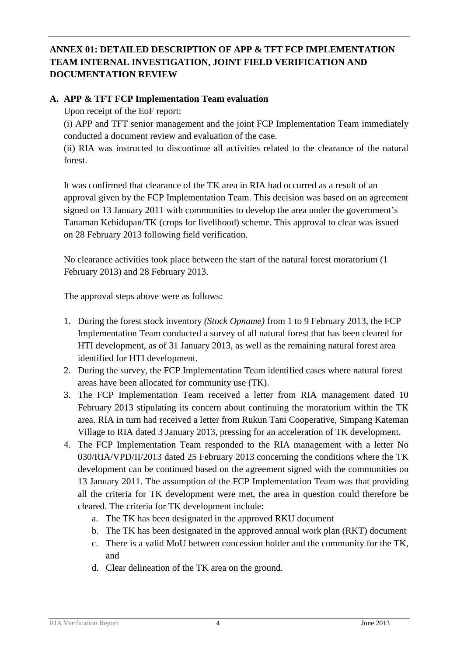# **ANNEX 01: DETAILED DESCRIPTION OF APP & TFT FCP IMPLEMENTATION TEAM INTERNAL INVESTIGATION, JOINT FIELD VERIFICATION AND DOCUMENTATION REVIEW**

### **A. APP & TFT FCP Implementation Team evaluation**

Upon receipt of the EoF report:

(i) APP and TFT senior management and the joint FCP Implementation Team immediately conducted a document review and evaluation of the case.

(ii) RIA was instructed to discontinue all activities related to the clearance of the natural forest.

It was confirmed that clearance of the TK area in RIA had occurred as a result of an approval given by the FCP Implementation Team. This decision was based on an agreement signed on 13 January 2011 with communities to develop the area under the government's Tanaman Kehidupan/TK (crops for livelihood) scheme. This approval to clear was issued on 28 February 2013 following field verification.

No clearance activities took place between the start of the natural forest moratorium (1 February 2013) and 28 February 2013.

The approval steps above were as follows:

- 1. During the forest stock inventory *(Stock Opname)* from 1 to 9 February 2013, the FCP Implementation Team conducted a survey of all natural forest that has been cleared for HTI development, as of 31 January 2013, as well as the remaining natural forest area identified for HTI development.
- 2. During the survey, the FCP Implementation Team identified cases where natural forest areas have been allocated for community use (TK).
- 3. The FCP Implementation Team received a letter from RIA management dated 10 February 2013 stipulating its concern about continuing the moratorium within the TK area. RIA in turn had received a letter from Rukun Tani Cooperative, Simpang Kateman Village to RIA dated 3 January 2013, pressing for an acceleration of TK development.
- 4. The FCP Implementation Team responded to the RIA management with a letter No 030/RIA/VPD/II/2013 dated 25 February 2013 concerning the conditions where the TK development can be continued based on the agreement signed with the communities on 13 January 2011. The assumption of the FCP Implementation Team was that providing all the criteria for TK development were met, the area in question could therefore be cleared. The criteria for TK development include:
	- a. The TK has been designated in the approved RKU document
	- b. The TK has been designated in the approved annual work plan (RKT) document
	- c. There is a valid MoU between concession holder and the community for the TK, and
	- d. Clear delineation of the TK area on the ground.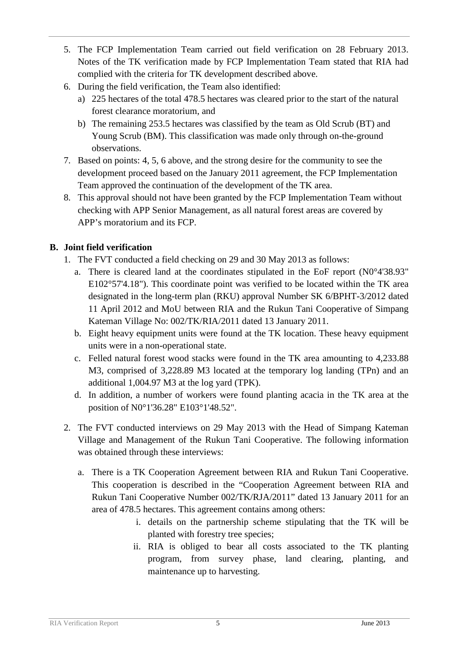- 5. The FCP Implementation Team carried out field verification on 28 February 2013. Notes of the TK verification made by FCP Implementation Team stated that RIA had complied with the criteria for TK development described above.
- 6. During the field verification, the Team also identified:
	- a) 225 hectares of the total 478.5 hectares was cleared prior to the start of the natural forest clearance moratorium, and
	- b) The remaining 253.5 hectares was classified by the team as Old Scrub (BT) and Young Scrub (BM). This classification was made only through on-the-ground observations.
- 7. Based on points: 4, 5, 6 above, and the strong desire for the community to see the development proceed based on the January 2011 agreement, the FCP Implementation Team approved the continuation of the development of the TK area.
- 8. This approval should not have been granted by the FCP Implementation Team without checking with APP Senior Management, as all natural forest areas are covered by APP's moratorium and its FCP.

# **B. Joint field verification**

- 1. The FVT conducted a field checking on 29 and 30 May 2013 as follows:
	- a. There is cleared land at the coordinates stipulated in the EoF report (N0°4'38.93" E102°57'4.18"). This coordinate point was verified to be located within the TK area designated in the long-term plan (RKU) approval Number SK 6/BPHT-3/2012 dated 11 April 2012 and MoU between RIA and the Rukun Tani Cooperative of Simpang Kateman Village No: 002/TK/RIA/2011 dated 13 January 2011.
	- b. Eight heavy equipment units were found at the TK location. These heavy equipment units were in a non-operational state.
	- c. Felled natural forest wood stacks were found in the TK area amounting to 4,233.88 M3, comprised of 3,228.89 M3 located at the temporary log landing (TPn) and an additional 1,004.97 M3 at the log yard (TPK).
	- d. In addition, a number of workers were found planting acacia in the TK area at the position of N0°1'36.28" E103°1'48.52".
- 2. The FVT conducted interviews on 29 May 2013 with the Head of Simpang Kateman Village and Management of the Rukun Tani Cooperative. The following information was obtained through these interviews:
	- a. There is a TK Cooperation Agreement between RIA and Rukun Tani Cooperative. This cooperation is described in the "Cooperation Agreement between RIA and Rukun Tani Cooperative Number 002/TK/RJA/2011" dated 13 January 2011 for an area of 478.5 hectares. This agreement contains among others:
		- i. details on the partnership scheme stipulating that the TK will be planted with forestry tree species;
		- ii. RIA is obliged to bear all costs associated to the TK planting program, from survey phase, land clearing, planting, and maintenance up to harvesting.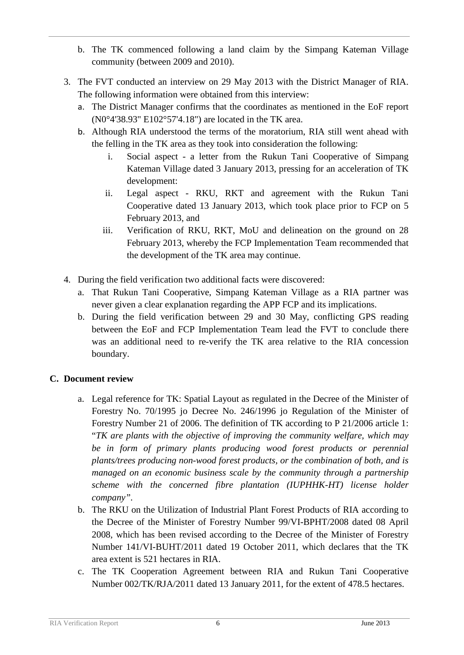- b. The TK commenced following a land claim by the Simpang Kateman Village community (between 2009 and 2010).
- 3. The FVT conducted an interview on 29 May 2013 with the District Manager of RIA. The following information were obtained from this interview:
	- a. The District Manager confirms that the coordinates as mentioned in the EoF report (N0°4'38.93" E102°57'4.18") are located in the TK area.
	- b. Although RIA understood the terms of the moratorium, RIA still went ahead with the felling in the TK area as they took into consideration the following:
		- i. Social aspect a letter from the Rukun Tani Cooperative of Simpang Kateman Village dated 3 January 2013, pressing for an acceleration of TK development:
		- ii. Legal aspect RKU, RKT and agreement with the Rukun Tani Cooperative dated 13 January 2013, which took place prior to FCP on 5 February 2013, and
		- iii. Verification of RKU, RKT, MoU and delineation on the ground on 28 February 2013, whereby the FCP Implementation Team recommended that the development of the TK area may continue.
- 4. During the field verification two additional facts were discovered:
	- a. That Rukun Tani Cooperative, Simpang Kateman Village as a RIA partner was never given a clear explanation regarding the APP FCP and its implications.
	- b. During the field verification between 29 and 30 May, conflicting GPS reading between the EoF and FCP Implementation Team lead the FVT to conclude there was an additional need to re-verify the TK area relative to the RIA concession boundary.

# **C. Document review**

- a. Legal reference for TK: Spatial Layout as regulated in the Decree of the Minister of Forestry No. 70/1995 jo Decree No. 246/1996 jo Regulation of the Minister of Forestry Number 21 of 2006. The definition of TK according to P 21/2006 article 1: "*TK are plants with the objective of improving the community welfare, which may be in form of primary plants producing wood forest products or perennial plants/trees producing non-wood forest products, or the combination of both, and is managed on an economic business scale by the community through a partnership scheme with the concerned fibre plantation (IUPHHK-HT) license holder company".*
- b. The RKU on the Utilization of Industrial Plant Forest Products of RIA according to the Decree of the Minister of Forestry Number 99/VI-BPHT/2008 dated 08 April 2008, which has been revised according to the Decree of the Minister of Forestry Number 141/VI-BUHT/2011 dated 19 October 2011, which declares that the TK area extent is 521 hectares in RIA.
- c. The TK Cooperation Agreement between RIA and Rukun Tani Cooperative Number 002/TK/RJA/2011 dated 13 January 2011, for the extent of 478.5 hectares.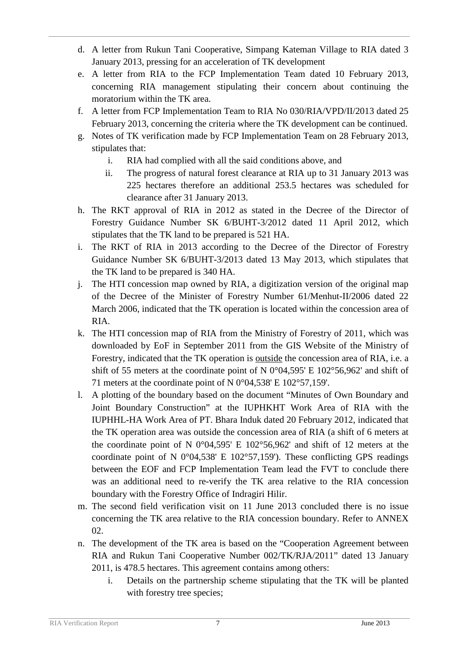- d. A letter from Rukun Tani Cooperative, Simpang Kateman Village to RIA dated 3 January 2013, pressing for an acceleration of TK development
- e. A letter from RIA to the FCP Implementation Team dated 10 February 2013, concerning RIA management stipulating their concern about continuing the moratorium within the TK area.
- f. A letter from FCP Implementation Team to RIA No 030/RIA/VPD/II/2013 dated 25 February 2013, concerning the criteria where the TK development can be continued.
- g. Notes of TK verification made by FCP Implementation Team on 28 February 2013, stipulates that:
	- i. RIA had complied with all the said conditions above, and
	- ii. The progress of natural forest clearance at RIA up to 31 January 2013 was 225 hectares therefore an additional 253.5 hectares was scheduled for clearance after 31 January 2013.
- h. The RKT approval of RIA in 2012 as stated in the Decree of the Director of Forestry Guidance Number SK 6/BUHT-3/2012 dated 11 April 2012, which stipulates that the TK land to be prepared is 521 HA.
- i. The RKT of RIA in 2013 according to the Decree of the Director of Forestry Guidance Number SK 6/BUHT-3/2013 dated 13 May 2013, which stipulates that the TK land to be prepared is 340 HA.
- j. The HTI concession map owned by RIA, a digitization version of the original map of the Decree of the Minister of Forestry Number 61/Menhut-II/2006 dated 22 March 2006, indicated that the TK operation is located within the concession area of RIA.
- k. The HTI concession map of RIA from the Ministry of Forestry of 2011, which was downloaded by EoF in September 2011 from the GIS Website of the Ministry of Forestry, indicated that the TK operation is **outside** the concession area of RIA, i.e. a shift of 55 meters at the coordinate point of N 0°04,595' E 102°56,962' and shift of 71 meters at the coordinate point of N 0°04,538' E 102°57,159'.
- l. A plotting of the boundary based on the document "Minutes of Own Boundary and Joint Boundary Construction" at the IUPHKHT Work Area of RIA with the IUPHHL-HA Work Area of PT. Bhara Induk dated 20 February 2012, indicated that the TK operation area was outside the concession area of RIA (a shift of 6 meters at the coordinate point of N 0°04,595' E 102°56,962' and shift of 12 meters at the coordinate point of N 0°04,538' E 102°57,159'). These conflicting GPS readings between the EOF and FCP Implementation Team lead the FVT to conclude there was an additional need to re-verify the TK area relative to the RIA concession boundary with the Forestry Office of Indragiri Hilir.
- m. The second field verification visit on 11 June 2013 concluded there is no issue concerning the TK area relative to the RIA concession boundary. Refer to ANNEX 02.
- n. The development of the TK area is based on the "Cooperation Agreement between RIA and Rukun Tani Cooperative Number 002/TK/RJA/2011" dated 13 January 2011, is 478.5 hectares. This agreement contains among others:
	- i. Details on the partnership scheme stipulating that the TK will be planted with forestry tree species;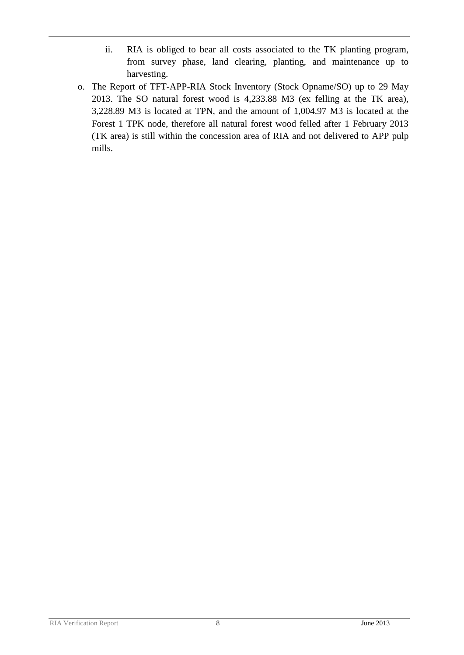- ii. RIA is obliged to bear all costs associated to the TK planting program, from survey phase, land clearing, planting, and maintenance up to harvesting.
- o. The Report of TFT-APP-RIA Stock Inventory (Stock Opname/SO) up to 29 May 2013. The SO natural forest wood is 4,233.88 M3 (ex felling at the TK area), 3,228.89 M3 is located at TPN, and the amount of 1,004.97 M3 is located at the Forest 1 TPK node, therefore all natural forest wood felled after 1 February 2013 (TK area) is still within the concession area of RIA and not delivered to APP pulp mills.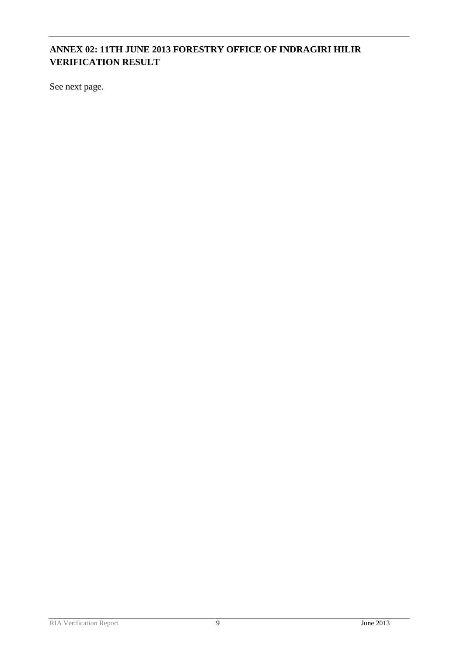# **ANNEX 02: 11TH JUNE 2013 FORESTRY OFFICE OF INDRAGIRI HILIR VERIFICATION RESULT**

See next page.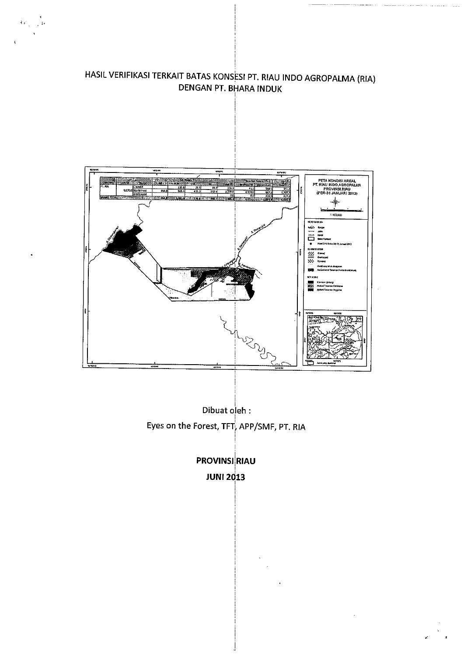HASIL VERIFIKASI TERKAIT BATAS KONSESI PT. RIAU INDO AGROPALMA (RIA) **DENGAN PT. BHARA INDUK** 

 $\{\varphi_{j}\}_{j\in\mathbb{Z}}$ re



Dibuat oleh : Eyes on the Forest, TFT, APP/SMF, PT. RIA

**PROVINSI RIAU JUNI 2013**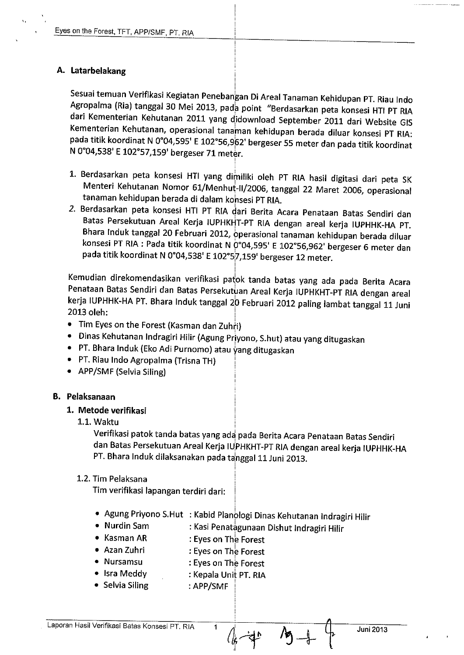#### A. Latarbelakang

Sesuai temuan Verifikasi Kegiatan Penebangan Di Areal Tanaman Kehidupan PT. Riau Indo Agropalma (Ria) tanggal 30 Mei 2013, pada point "Berdasarkan peta konsesi HTI PT RIA dari Kementerian Kehutanan 2011 yang didownload September 2011 dari Website GIS Kementerian Kehutanan, operasional tanaman kehidupan berada diluar konsesi PT RIA: pada titik koordinat N 0°04,595' E 102°56,962' bergeser 55 meter dan pada titik koordinat N 0°04,538' E 102°57,159' bergeser 71 meter.

- 1. Berdasarkan peta konsesi HTI yang dimiliki oleh PT RIA hasil digitasi dari peta SK Menteri Kehutanan Nomor 61/Menhut-II/2006, tanggal 22 Maret 2006, operasional tanaman kehidupan berada di dalam konsesi PT RIA.
- 2. Berdasarkan peta konsesi HTI PT RIA dari Berita Acara Penataan Batas Sendiri dan Batas Persekutuan Areal Kerja IUPHKHT-PT RIA dengan areal kerja IUPHHK-HA PT. Bhara Induk tanggal 20 Februari 2012, operasional tanaman kehidupan berada diluar konsesi PT RIA : Pada titik koordinat N 0°04,595' E 102°56,962' bergeser 6 meter dan pada titik koordinat N 0°04,538' E 102°5<sup>7</sup>,159' bergeser 12 meter.

Kemudian direkomendasikan verifikasi patok tanda batas yang ada pada Berita Acara Penataan Batas Sendiri dan Batas Persekutuan Areal Kerja IUPHKHT-PT RIA dengan areal kerja IUPHHK-HA PT. Bhara Induk tanggal 20 Februari 2012 paling lambat tanggal 11 Juni 2013 oleh:

- Tim Eyes on the Forest (Kasman dan Zuhri)
- Dinas Kehutanan Indragiri Hilir (Agung Priyono, S.hut) atau yang ditugaskan
- PT. Bhara Induk (Eko Adi Purnomo) atau yang ditugaskan
- PT. Riau Indo Agropalma (Trisna TH)
- APP/SMF (Selvia Siling)

#### **B.** Pelaksanaan

#### 1. Metode verifikasi

1.1. Waktu

Verifikasi patok tanda batas yang ada pada Berita Acara Penataan Batas Sendiri dan Batas Persekutuan Areal Kerja IUPHKHT-PT RIA dengan areal kerja IUPHHK-HA PT. Bhara Induk dilaksanakan pada tanggal 11 Juni 2013.

#### 1.2. Tim Pelaksana

Tim verifikasi lapangan terdiri dari:

- · Agung Priyono S.Hut : Kabid Planologi Dinas Kehutanan Indragiri Hilir
- Nurdin Sam : Kasi Penatagunaan Dishut Indragiri Hilir
- Kasman AR : Eyes on The Forest
- Azan Zuhri : Eyes on The Forest
- Nursamsu : Eyes on The Forest
- Isra Meddy : Kepala Unit PT. RIA
- Selvia Siling : APP/SMF

Laporan Hasil Verifikasi Batas Konsesi PT. RIA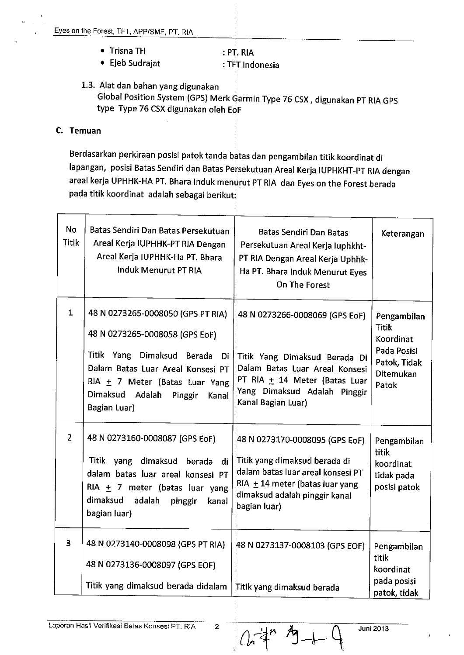- Trisna TH : PT. RIA
- Ejeb Sudrajat : TFT Indonesia
- 1.3. Alat dan bahan yang digunakan Global Position System (GPS) Merk Garmin Type 76 CSX, digunakan PT RIA GPS type Type 76 CSX digunakan oleh EoF

#### C. Temuan

Berdasarkan perkiraan posisi patok tanda batas dan pengambilan titik koordinat di lapangan, posisi Batas Sendiri dan Batas Persekutuan Areal Kerja IUPHKHT-PT RIA dengan areal kerja UPHHK-HA PT. Bhara Induk menurut PT RIA dan Eyes on the Forest berada pada titik koordinat adalah sebagai berikut:

| <b>No</b><br><b>Titik</b> | Batas Sendiri Dan Batas Persekutuan<br>Areal Kerja IUPHHK-PT RIA Dengan<br>Areal Kerja IUPHHK-Ha PT. Bhara<br>Induk Menurut PT RIA                                                                                              | <b>Batas Sendiri Dan Batas</b><br>Persekutuan Areal Kerja luphkht-<br>PT RIA Dengan Areal Kerja Uphhk-<br>Ha PT. Bhara Induk Menurut Eyes<br>On The Forest                                   | Keterangan                                                                                    |
|---------------------------|---------------------------------------------------------------------------------------------------------------------------------------------------------------------------------------------------------------------------------|----------------------------------------------------------------------------------------------------------------------------------------------------------------------------------------------|-----------------------------------------------------------------------------------------------|
| $\mathbf{1}$              | 48 N 0273265-0008050 (GPS PT RIA)<br>48 N 0273265-0008058 (GPS EoF)<br>Titik Yang Dimaksud Berada Di<br>Dalam Batas Luar Areal Konsesi PT<br>RIA + 7 Meter (Batas Luar Yang<br>Dimaksud Adalah Pinggir<br>Kanal<br>Bagian Luar) | 48 N 0273266-0008069 (GPS EoF)<br>Titik Yang Dimaksud Berada Di<br>Dalam Batas Luar Areal Konsesi<br>PT RIA + 14 Meter (Batas Luar<br>Yang Dimaksud Adalah Pinggir<br>Kanal Bagian Luar)     | Pengambilan<br><b>Titik</b><br>Koordinat<br>Pada Posisi<br>Patok, Tidak<br>Ditemukan<br>Patok |
| $\overline{2}$            | 48 N 0273160-0008087 (GPS EoF)<br>Titik yang dimaksud berada di<br>dalam batas luar areal konsesi PT<br>RIA $\pm$ 7 meter (batas luar yang<br>dimaksud adalah<br>pinggir<br>kanal<br>bagian luar)                               | 48 N 0273170-0008095 (GPS EoF)<br>Titik yang dimaksud berada di<br>dalam batas luar areal konsesi PT<br>RIA $\pm$ 14 meter (batas luar yang<br>dimaksud adalah pinggir kanal<br>bagian luar) | Pengambilan<br>titik<br>koordinat<br>tidak pada<br>posisi patok                               |
| 3                         | 48 N 0273140-0008098 (GPS PT RIA)<br>48 N 0273136-0008097 (GPS EOF)<br>Titik yang dimaksud berada didalam                                                                                                                       | 48 N 0273137-0008103 (GPS EOF)<br>Titik yang dimaksud berada                                                                                                                                 | Pengambilan<br>titik<br>koordinat<br>pada posisi<br>patok, tidak                              |

 $\overline{2}$ 

Juni 2013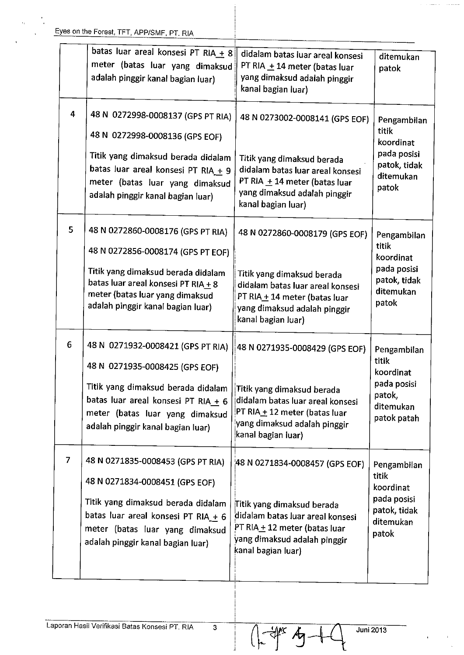|   | batas luar areal konsesi PT RIA + 8<br>meter (batas luar yang dimaksud<br>adalah pinggir kanal bagian luar)                                                                                                                 | didalam batas luar areal konsesi<br>PT RIA + 14 meter (batas luar<br>yang dimaksud adalah pinggir<br>kanal bagian luar)                                                                 | ditemukan<br>patok                                                                     |
|---|-----------------------------------------------------------------------------------------------------------------------------------------------------------------------------------------------------------------------------|-----------------------------------------------------------------------------------------------------------------------------------------------------------------------------------------|----------------------------------------------------------------------------------------|
| 4 | 48 N 0272998-0008137 (GPS PT RIA)<br>48 N 0272998-0008136 (GPS EOF)<br>Titik yang dimaksud berada didalam<br>batas luar areal konsesi PT RIA + 9<br>meter (batas luar yang dimaksud<br>adalah pinggir kanal bagian luar)    | 48 N 0273002-0008141 (GPS EOF)<br>Titik yang dimaksud berada<br>didalam batas luar areal konsesi<br>PT RIA + 14 meter (batas luar<br>yang dimaksud adalah pinggir<br>kanal bagian luar) | Pengambilan<br>titik<br>koordinat<br>pada posisi<br>patok, tidak<br>ditemukan<br>patok |
| 5 | 48 N 0272860-0008176 (GPS PT RIA)<br>48 N 0272856-0008174 (GPS PT EOF)<br>Titik yang dimaksud berada didalam<br>batas luar areal konsesi PT RIA + 8<br>meter (batas luar yang dimaksud<br>adalah pinggir kanal bagian luar) | 48 N 0272860-0008179 (GPS EOF)<br>Titik yang dimaksud berada<br>didalam batas luar areal konsesi<br>PT RIA + 14 meter (batas luar<br>yang dimaksud adalah pinggir<br>kanal bagian luar) | Pengambilan<br>titik<br>koordinat<br>pada posisi<br>patok, tidak<br>ditemukan<br>patok |
| 6 | 48 N 0271932-0008421 (GPS PT RIA)<br>48 N 0271935-0008425 (GPS EOF)<br>Titik yang dimaksud berada didalam<br>batas luar areal konsesi PT RIA + 6<br>meter (batas luar yang dimaksud<br>adalah pinggir kanal bagian luar)    | 48 N 0271935-0008429 (GPS EOF)<br>Titik yang dimaksud berada<br>didalam batas luar areal konsesi<br>PT RIA + 12 meter (batas luar<br>yang dimaksud adalah pinggir<br>kanal bagian luar) | Pengambilan<br>titik<br>koordinat<br>pada posisi<br>patok,<br>ditemukan<br>patok patah |
| 7 | 48 N 0271835-0008453 (GPS PT RIA)<br>48 N 0271834-0008451 (GPS EOF)<br>Titik yang dimaksud berada didalam<br>batas luar areal konsesi PT RIA + 6<br>meter (batas luar yang dimaksud<br>adalah pinggir kanal bagian luar)    | 48 N 0271834-0008457 (GPS EOF)<br>Titik yang dimaksud berada<br>didalam batas luar areal konsesi<br>PT RIA + 12 meter (batas luar<br>yang dimaksud adalah pinggir<br>kanal bagian luar) | Pengambilan<br>titik<br>koordinat<br>pada posisi<br>patok, tidak<br>ditemukan<br>patok |

 $\overline{\mathbf{3}}$ 

 $\sqrt{2}$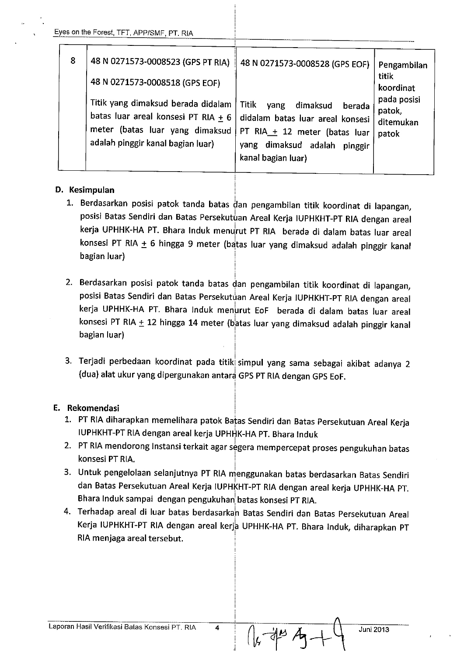| 8 | 48 N 0271573-0008523 (GPS PT RIA)<br>48 N 0271573-0008518 (GPS EOF)                                                                                   | 48 N 0271573-0008528 (GPS EOF)                                                                                                                                    | Pengambilan<br>titik<br>koordinat           |
|---|-------------------------------------------------------------------------------------------------------------------------------------------------------|-------------------------------------------------------------------------------------------------------------------------------------------------------------------|---------------------------------------------|
|   | Titik yang dimaksud berada didalam<br>batas luar areal konsesi PT RIA $\pm$ 6<br>meter (batas luar yang dimaksud<br>adalah pinggir kanal bagian luar) | Titik<br>dimaksud<br>yang<br>berada<br>didalam batas luar areal konsesi<br>PT RIA_+ 12 meter (batas luar<br>yang dimaksud adalah<br>pinggir<br>kanal bagian luar) | pada posisi<br>patok,<br>ditemukan<br>patok |

#### D. Kesimpulan

- 1. Berdasarkan posisi patok tanda batas dan pengambilan titik koordinat di lapangan, posisi Batas Sendiri dan Batas Persekutuan Areal Kerja IUPHKHT-PT RIA dengan areal kerja UPHHK-HA PT. Bhara Induk menurut PT RIA berada di dalam batas luar areal konsesi PT RIA + 6 hingga 9 meter (batas luar yang dimaksud adalah pinggir kanal bagian luar)
- 2. Berdasarkan posisi patok tanda batas dan pengambilan titik koordinat di lapangan, posisi Batas Sendiri dan Batas Persekutuan Areal Kerja IUPHKHT-PT RIA dengan areal kerja UPHHK-HA PT. Bhara Induk menurut EoF berada di dalam batas luar areal konsesi PT RIA + 12 hingga 14 meter (batas luar yang dimaksud adalah pinggir kanal bagian luar)
- 3. Terjadi perbedaan koordinat pada titik simpul yang sama sebagai akibat adanya 2 (dua) alat ukur yang dipergunakan antara GPS PT RIA dengan GPS EoF.

#### E. Rekomendasi

- 1. PT RIA diharapkan memelihara patok Batas Sendiri dan Batas Persekutuan Areal Kerja IUPHKHT-PT RIA dengan areal kerja UPHHK-HA PT. Bhara Induk
- 2. PT RIA mendorong Instansi terkait agar segera mempercepat proses pengukuhan batas konsesi PT RIA.
- 3. Untuk pengelolaan selanjutnya PT RIA menggunakan batas berdasarkan Batas Sendiri dan Batas Persekutuan Areal Kerja IUPHKHT-PT RIA dengan areal kerja UPHHK-HA PT. Bhara Induk sampai dengan pengukuhan batas konsesi PT RIA.
- 4. Terhadap areal di luar batas berdasarkan Batas Sendiri dan Batas Persekutuan Areal Kerja IUPHKHT-PT RIA dengan areal kerja UPHHK-HA PT. Bhara Induk, diharapkan PT RIA menjaga areal tersebut.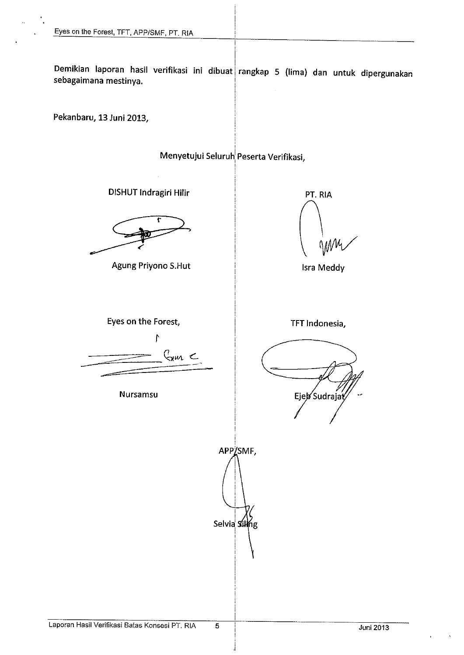Demikian laporan hasil verifikasi ini dibuat rangkap 5 (lima) dan untuk dipergunakan sebagaimana mestinya.

Pekanbaru, 13 Juni 2013,

Menyetujui Seluruh Peserta Verifikasi,

DISHUT Indragiri Hilir

Agung Priyono S.Hut

PT. RIA

**Isra Meddy** 

Eyes on the Forest,  $\mathfrak{f}$  $C_{\rm max}$ 

**Nursamsu** 

TFT Indonesia,

Ejeb Sudrajat

Laporan Hasil Verifikasi Batas Konsesi PT. RIA

APP/SMF,

Selvia Siling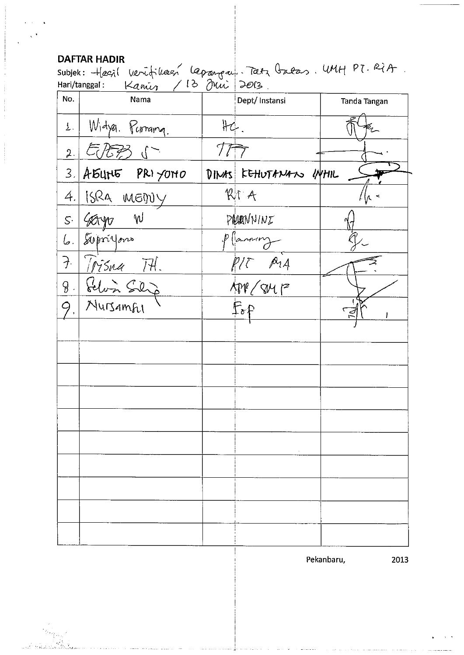# **DAFTAR HADIR**

Subjek: Hasil Verifikaen lapanpul. Tatz Gutas. WHH PT. RiA.

| No.                | $\sim$<br>Nama  | Dept/Instansi<br>Tanda Tangan |
|--------------------|-----------------|-------------------------------|
| 1.1                | Widya. Parama.  | H4.                           |
| 2.                 | 气质形             |                               |
| 3.                 | A 54N5 PRI YOMO | DINAS FEHUTANANO UYHIL        |
| 4.                 | 15RA MEDUY      | RTA                           |
|                    | s. Geryo W      | PRANNINI                      |
| 6.                 | Supriyons       | p (annoy                      |
| $\overline{\cdot}$ | Trisna Ttl.     | $\rho_{14}$                   |
| $\sqrt{8}$ .       | Felin Silip     | $APV$ (sur $P^2$              |
| 9.                 | Nursamful       | $F_{o}f$                      |
|                    |                 |                               |
|                    |                 |                               |
|                    |                 |                               |
|                    |                 |                               |
|                    |                 |                               |
|                    |                 |                               |
|                    |                 |                               |
|                    |                 |                               |
|                    |                 |                               |
|                    |                 |                               |
|                    |                 |                               |

Pekanbaru,

2013